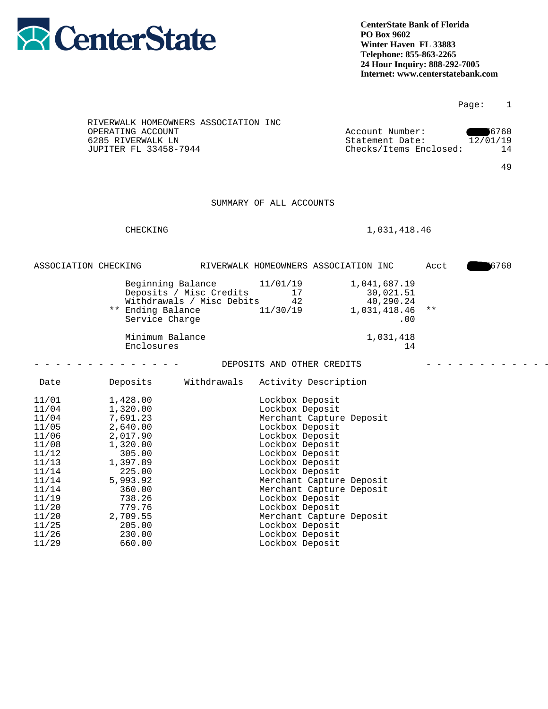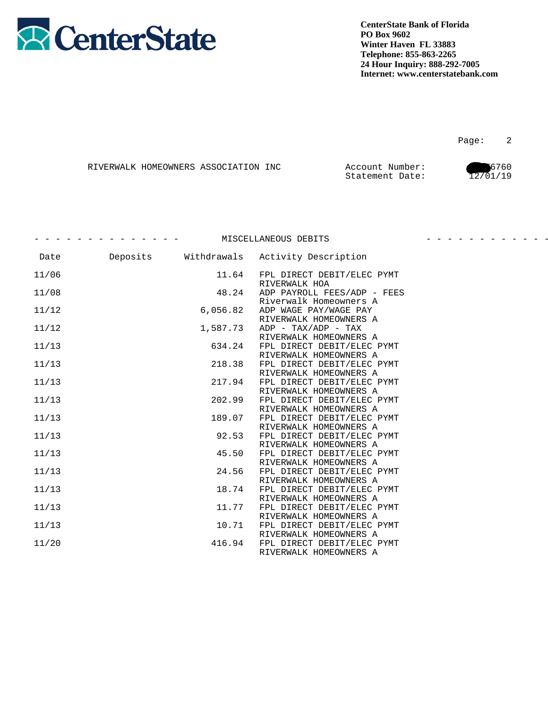

Page: 2

|  | RIVERWALK HOMEOWNERS ASSOCIATION INC | Account Number: | 6760     |
|--|--------------------------------------|-----------------|----------|
|  |                                      | Statement Date: | 12/01/19 |

|       |          |             | MISCELLANEOUS DEBITS                                  |  |
|-------|----------|-------------|-------------------------------------------------------|--|
| Date  | Deposits | Withdrawals | Activity Description                                  |  |
| 11/06 |          | 11.64       | FPL DIRECT DEBIT/ELEC PYMT<br>RIVERWALK HOA           |  |
| 11/08 |          | 48.24       | ADP PAYROLL FEES/ADP - FEES<br>Riverwalk Homeowners A |  |
| 11/12 |          | 6,056.82    | ADP WAGE PAY/WAGE PAY<br>RIVERWALK HOMEOWNERS A       |  |
| 11/12 |          | 1,587.73    | ADP - TAX/ADP - TAX<br>RIVERWALK HOMEOWNERS A         |  |
| 11/13 |          | 634.24      | FPL DIRECT DEBIT/ELEC PYMT<br>RIVERWALK HOMEOWNERS A  |  |
| 11/13 |          | 218.38      | FPL DIRECT DEBIT/ELEC PYMT<br>RIVERWALK HOMEOWNERS A  |  |
| 11/13 |          | 217.94      | FPL DIRECT DEBIT/ELEC PYMT<br>RIVERWALK HOMEOWNERS A  |  |
| 11/13 |          | 202.99      | FPL DIRECT DEBIT/ELEC PYMT<br>RIVERWALK HOMEOWNERS A  |  |
| 11/13 |          | 189.07      | FPL DIRECT DEBIT/ELEC PYMT<br>RIVERWALK HOMEOWNERS A  |  |
| 11/13 |          | 92.53       | FPL DIRECT DEBIT/ELEC PYMT<br>RIVERWALK HOMEOWNERS A  |  |
| 11/13 |          | 45.50       | FPL DIRECT DEBIT/ELEC PYMT<br>RIVERWALK HOMEOWNERS A  |  |
| 11/13 |          | 24.56       | FPL DIRECT DEBIT/ELEC PYMT<br>RIVERWALK HOMEOWNERS A  |  |
| 11/13 |          | 18.74       | FPL DIRECT DEBIT/ELEC PYMT<br>RIVERWALK HOMEOWNERS A  |  |
| 11/13 |          | 11.77       | FPL DIRECT DEBIT/ELEC PYMT<br>RIVERWALK HOMEOWNERS A  |  |
| 11/13 |          | 10.71       | FPL DIRECT DEBIT/ELEC PYMT<br>RIVERWALK HOMEOWNERS A  |  |
| 11/20 |          | 416.94      | FPL DIRECT DEBIT/ELEC PYMT<br>RIVERWALK HOMEOWNERS A  |  |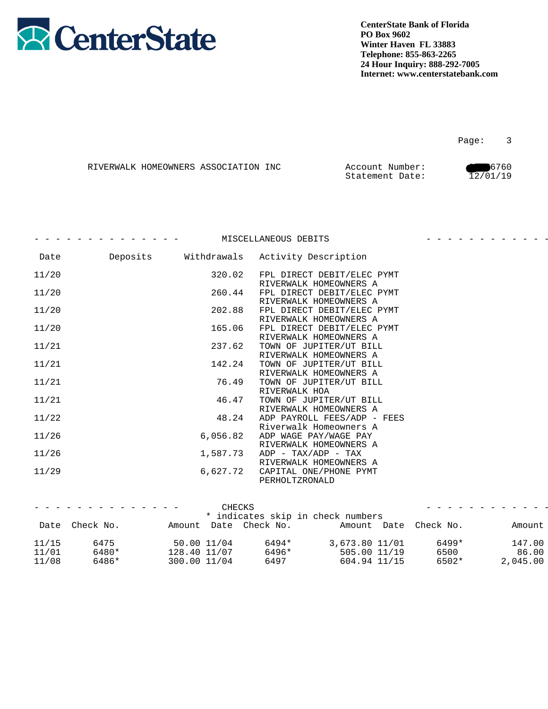

|  | RIVERWALK HOMEOWNERS ASSOCIATION INC | Account Number: | 6760     |
|--|--------------------------------------|-----------------|----------|
|  |                                      | Statement Date: | 12/01/19 |

|       |          |             | MISCELLANEOUS DEBITS                                  |  |
|-------|----------|-------------|-------------------------------------------------------|--|
| Date  | Deposits | Withdrawals | Activity Description                                  |  |
| 11/20 |          | 320.02      | FPL DIRECT DEBIT/ELEC PYMT                            |  |
| 11/20 |          | 260.44      | RIVERWALK HOMEOWNERS A<br>FPL DIRECT DEBIT/ELEC PYMT  |  |
| 11/20 |          | 202.88      | RIVERWALK HOMEOWNERS A<br>FPL DIRECT DEBIT/ELEC PYMT  |  |
| 11/20 |          | 165.06      | RIVERWALK HOMEOWNERS A<br>FPL DIRECT DEBIT/ELEC PYMT  |  |
| 11/21 |          | 237.62      | RIVERWALK HOMEOWNERS A<br>TOWN OF JUPITER/UT BILL     |  |
| 11/21 |          | 142.24      | RIVERWALK HOMEOWNERS A<br>TOWN OF JUPITER/UT BILL     |  |
| 11/21 |          | 76.49       | RIVERWALK HOMEOWNERS A<br>TOWN OF JUPITER/UT BILL     |  |
| 11/21 |          | 46.47       | RIVERWALK HOA<br>TOWN OF JUPITER/UT BILL              |  |
| 11/22 |          | 48.24       | RIVERWALK HOMEOWNERS A<br>ADP PAYROLL FEES/ADP - FEES |  |
| 11/26 |          | 6,056.82    | Riverwalk Homeowners A<br>ADP WAGE PAY/WAGE PAY       |  |
| 11/26 |          | 1,587.73    | RIVERWALK HOMEOWNERS A<br>$ADP - TAX/ADP - TAX$       |  |
| 11/29 |          | 6,627.72    | RIVERWALK HOMEOWNERS A<br>CAPITAL ONE/PHONE PYMT      |  |
|       |          |             | PERHOLTZRONALD                                        |  |

|       | - - - - - - - - - - - - - - - | CHECKS                |       |                                   |       | . <b>A</b> |
|-------|-------------------------------|-----------------------|-------|-----------------------------------|-------|------------|
|       |                               |                       |       | * indicates skip in check numbers |       |            |
|       | Date Check No.                | Amount Date Check No. |       | Amount Date Check No.             |       | Amount     |
| 11/15 | 6475                          | 50.00 11/04           | 6494* | 3,673.80 11/01                    | 6499* | 147.00     |
| 11/01 | 6480*                         | 128.40 11/07          | 6496* | 505.00 11/19                      | 6500  | 86.00      |
| 11/08 | 6486*                         | 300.00 11/04          | 6497  | 604.94 11/15                      | 6502* | 2,045.00   |